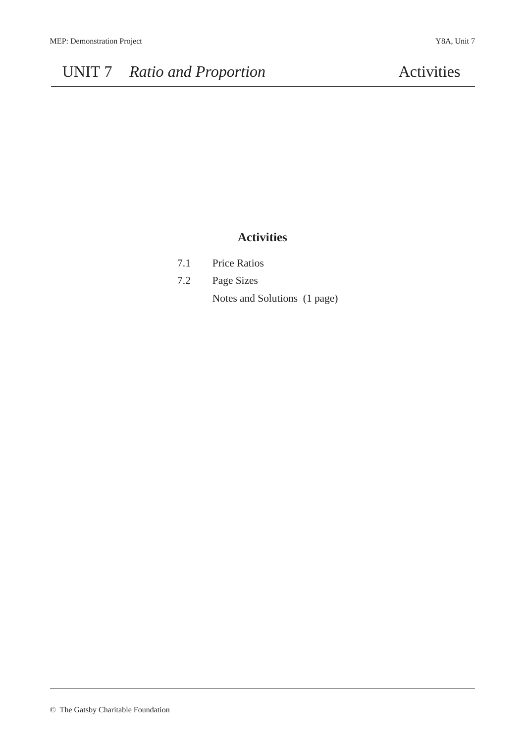### **Activities**

| 7.1 | <b>Price Ratios</b>          |  |
|-----|------------------------------|--|
| 7.2 | Page Sizes                   |  |
|     | Notes and Solutions (1 page) |  |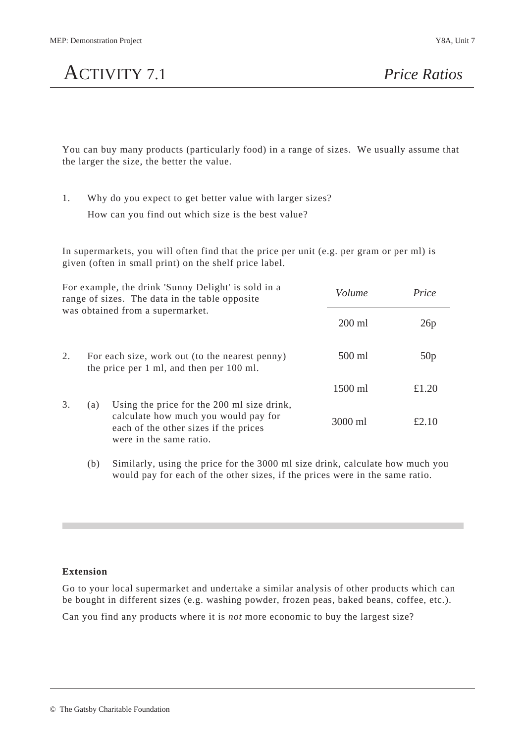# ACTIVITY 7.1 *Price Ratios*

You can buy many products (particularly food) in a range of sizes. We usually assume that the larger the size, the better the value.

1. Why do you expect to get better value with larger sizes? How can you find out which size is the best value?

In supermarkets, you will often find that the price per unit (e.g. per gram or per ml) is given (often in small print) on the shelf price label.

| For example, the drink 'Sunny Delight' is sold in a<br>range of sizes. The data in the table opposite<br>was obtained from a supermarket. |     | Volume                                                                                                                                                 | Price   |       |
|-------------------------------------------------------------------------------------------------------------------------------------------|-----|--------------------------------------------------------------------------------------------------------------------------------------------------------|---------|-------|
|                                                                                                                                           |     | $200$ ml                                                                                                                                               | 26p     |       |
| 2.                                                                                                                                        |     | For each size, work out (to the nearest penny)<br>the price per 1 ml, and then per 100 ml.                                                             | 500 ml  | 50p   |
|                                                                                                                                           |     |                                                                                                                                                        | 1500 ml | £1.20 |
| 3.                                                                                                                                        | (a) | Using the price for the 200 ml size drink,<br>calculate how much you would pay for<br>each of the other sizes if the prices<br>were in the same ratio. | 3000 ml | £2.10 |

(b) Similarly, using the price for the 3000 ml size drink, calculate how much you would pay for each of the other sizes, if the prices were in the same ratio.

### **Extension**

Go to your local supermarket and undertake a similar analysis of other products which can be bought in different sizes (e.g. washing powder, frozen peas, baked beans, coffee, etc.).

Can you find any products where it is *not* more economic to buy the largest size?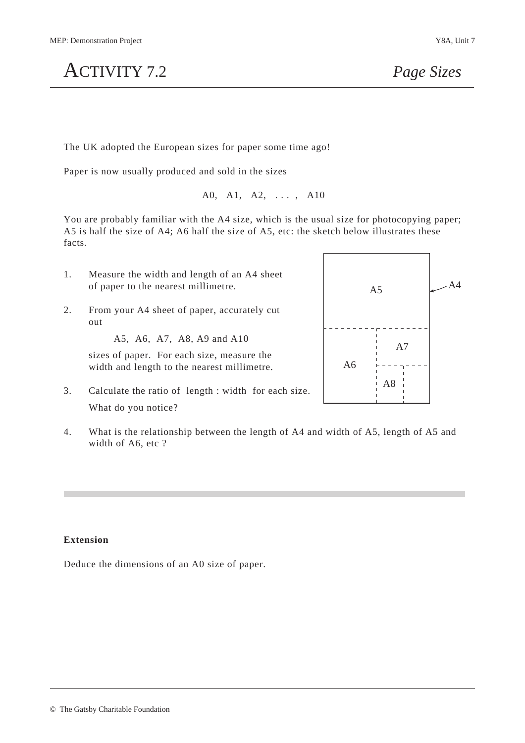ACTIVITY 7.2 *Page Sizes*

The UK adopted the European sizes for paper some time ago!

Paper is now usually produced and sold in the sizes

A0, A1, A2, . . . , A10

You are probably familiar with the A4 size, which is the usual size for photocopying paper; A5 is half the size of A4; A6 half the size of A5, etc: the sketch below illustrates these facts.

- 1. Measure the width and length of an A4 sheet of paper to the nearest millimetre.
- 2. From your A4 sheet of paper, accurately cut out

A5, A6, A7, A8, A9 and A10

sizes of paper. For each size, measure the width and length to the nearest millimetre.

- 3. Calculate the ratio of length : width for each size. What do you notice?
- 4. What is the relationship between the length of A4 and width of A5, length of A5 and width of A6, etc ?

### **Extension**

Deduce the dimensions of an A0 size of paper.